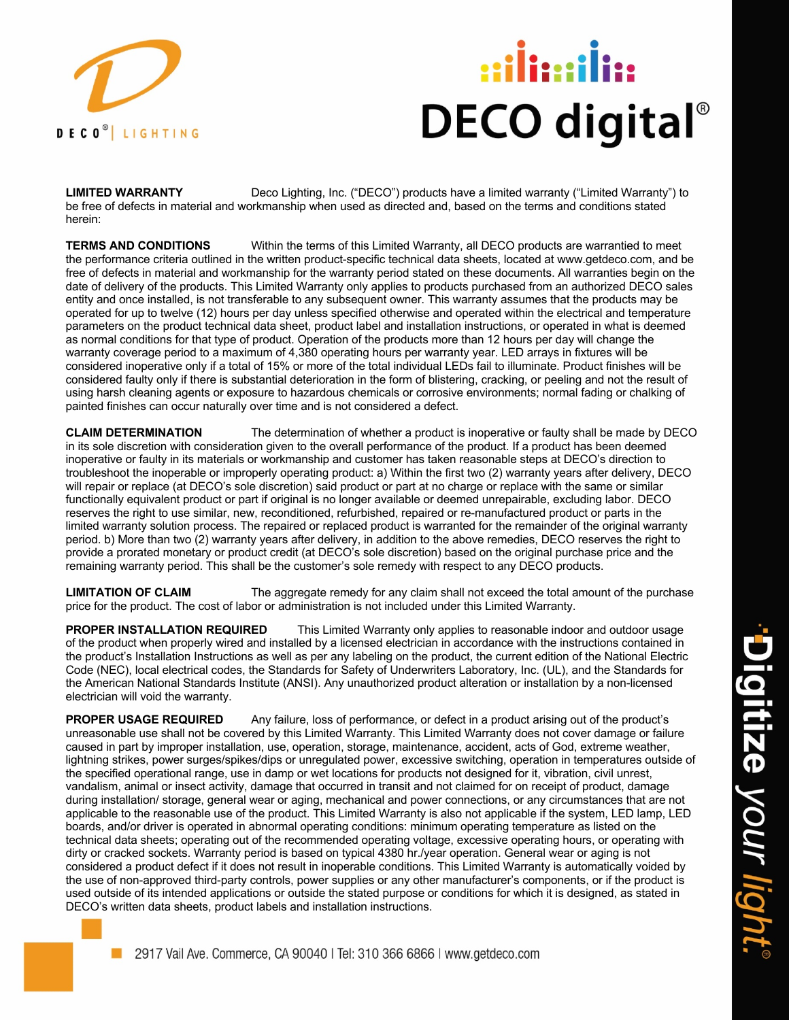

## **DECO digital**®

**LIMITED WARRANTY** Deco Lighting, Inc. ("DECO") products have a limited warranty ("Limited Warranty") to be free of defects in material and workmanship when used as directed and, based on the terms and conditions stated herein:

**TERMS AND CONDITIONS** Within the terms of this Limited Warranty, all DECO products are warrantied to meet the performance criteria outlined in the written product-specific technical data sheets, located at www.getdeco.com, and be free of defects in material and workmanship for the warranty period stated on these documents. All warranties begin on the date of delivery of the products. This Limited Warranty only applies to products purchased from an authorized DECO sales entity and once installed, is not transferable to any subsequent owner. This warranty assumes that the products may be operated for up to twelve (12) hours per day unless specified otherwise and operated within the electrical and temperature parameters on the product technical data sheet, product label and installation instructions, or operated in what is deemed as normal conditions for that type of product. Operation of the products more than 12 hours per day will change the warranty coverage period to a maximum of 4,380 operating hours per warranty year. LED arrays in fixtures will be considered inoperative only if a total of 15% or more of the total individual LEDs fail to illuminate. Product finishes will be considered faulty only if there is substantial deterioration in the form of blistering, cracking, or peeling and not the result of using harsh cleaning agents or exposure to hazardous chemicals or corrosive environments; normal fading or chalking of painted finishes can occur naturally over time and is not considered a defect.

**CLAIM DETERMINATION** The determination of whether a product is inoperative or faulty shall be made by DECO in its sole discretion with consideration given to the overall performance of the product. If a product has been deemed inoperative or faulty in its materials or workmanship and customer has taken reasonable steps at DECO's direction to troubleshoot the inoperable or improperly operating product: a) Within the first two (2) warranty years after delivery, DECO will repair or replace (at DECO's sole discretion) said product or part at no charge or replace with the same or similar functionally equivalent product or part if original is no longer available or deemed unrepairable, excluding labor. DECO reserves the right to use similar, new, reconditioned, refurbished, repaired or re-manufactured product or parts in the limited warranty solution process. The repaired or replaced product is warranted for the remainder of the original warranty period. b) More than two (2) warranty years after delivery, in addition to the above remedies, DECO reserves the right to provide a prorated monetary or product credit (at DECO's sole discretion) based on the original purchase price and the remaining warranty period. This shall be the customer's sole remedy with respect to any DECO products.

LIMITATION OF CLAIM The aggregate remedy for any claim shall not exceed the total amount of the purchase price for the product. The cost of labor or administration is not included under this Limited Warranty.

**PROPER INSTALLATION REQUIRED** This Limited Warranty only applies to reasonable indoor and outdoor usage of the product when properly wired and installed by a licensed electrician in accordance with the instructions contained in the product's Installation Instructions as well as per any labeling on the product, the current edition of the National Electric Code (NEC), local electrical codes, the Standards for Safety of Underwriters Laboratory, Inc. (UL), and the Standards for the American National Standards Institute (ANSI). Any unauthorized product alteration or installation by a non-licensed electrician will void the warranty.

**PROPER USAGE REQUIRED** Any failure, loss of performance, or defect in a product arising out of the product's unreasonable use shall not be covered by this Limited Warranty. This Limited Warranty does not cover damage or failure caused in part by improper installation, use, operation, storage, maintenance, accident, acts of God, extreme weather, lightning strikes, power surges/spikes/dips or unregulated power, excessive switching, operation in temperatures outside of the specified operational range, use in damp or wet locations for products not designed for it, vibration, civil unrest, vandalism, animal or insect activity, damage that occurred in transit and not claimed for on receipt of product, damage during installation/ storage, general wear or aging, mechanical and power connections, or any circumstances that are not applicable to the reasonable use of the product. This Limited Warranty is also not applicable if the system, LED lamp, LED boards, and/or driver is operated in abnormal operating conditions: minimum operating temperature as listed on the technical data sheets; operating out of the recommended operating voltage, excessive operating hours, or operating with dirty or cracked sockets. Warranty period is based on typical 4380 hr./year operation. General wear or aging is not considered a product defect if it does not result in inoperable conditions. This Limited Warranty is automatically voided by the use of non-approved third-party controls, power supplies or any other manufacturer's components, or if the product is used outside of its intended applications or outside the stated purpose or conditions for which it is designed, as stated in DECO's written data sheets, product labels and installation instructions.